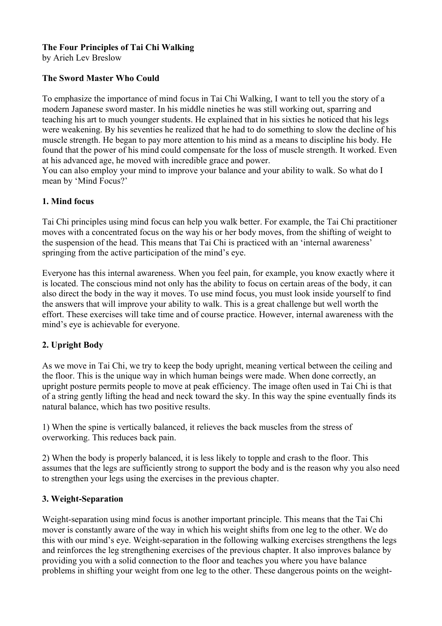## **The Four Principles of Tai Chi Walking**

by Arieh Lev Breslow

## **The Sword Master Who Could**

To emphasize the importance of mind focus in Tai Chi Walking, I want to tell you the story of a modern Japanese sword master. In his middle nineties he was still working out, sparring and teaching his art to much younger students. He explained that in his sixties he noticed that his legs were weakening. By his seventies he realized that he had to do something to slow the decline of his muscle strength. He began to pay more attention to his mind as a means to discipline his body. He found that the power of his mind could compensate for the loss of muscle strength. It worked. Even at his advanced age, he moved with incredible grace and power.

You can also employ your mind to improve your balance and your ability to walk. So what do I mean by 'Mind Focus?'

### **1. Mind focus**

Tai Chi principles using mind focus can help you walk better. For example, the Tai Chi practitioner moves with a concentrated focus on the way his or her body moves, from the shifting of weight to the suspension of the head. This means that Tai Chi is practiced with an 'internal awareness' springing from the active participation of the mind's eye.

Everyone has this internal awareness. When you feel pain, for example, you know exactly where it is located. The conscious mind not only has the ability to focus on certain areas of the body, it can also direct the body in the way it moves. To use mind focus, you must look inside yourself to find the answers that will improve your ability to walk. This is a great challenge but well worth the effort. These exercises will take time and of course practice. However, internal awareness with the mind's eye is achievable for everyone.

#### **2. Upright Body**

As we move in Tai Chi, we try to keep the body upright, meaning vertical between the ceiling and the floor. This is the unique way in which human beings were made. When done correctly, an upright posture permits people to move at peak efficiency. The image often used in Tai Chi is that of a string gently lifting the head and neck toward the sky. In this way the spine eventually finds its natural balance, which has two positive results.

1) When the spine is vertically balanced, it relieves the back muscles from the stress of overworking. This reduces back pain.

2) When the body is properly balanced, it is less likely to topple and crash to the floor. This assumes that the legs are sufficiently strong to support the body and is the reason why you also need to strengthen your legs using the exercises in the previous chapter.

#### **3. Weight-Separation**

Weight-separation using mind focus is another important principle. This means that the Tai Chi mover is constantly aware of the way in which his weight shifts from one leg to the other. We do this with our mind's eye. Weight-separation in the following walking exercises strengthens the legs and reinforces the leg strengthening exercises of the previous chapter. It also improves balance by providing you with a solid connection to the floor and teaches you where you have balance problems in shifting your weight from one leg to the other. These dangerous points on the weight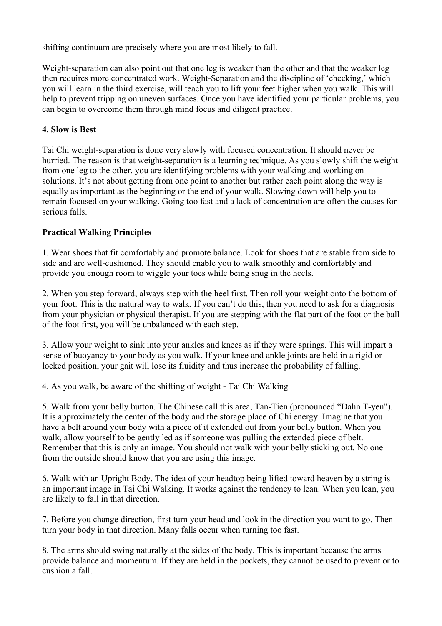shifting continuum are precisely where you are most likely to fall.

Weight-separation can also point out that one leg is weaker than the other and that the weaker leg then requires more concentrated work. Weight-Separation and the discipline of 'checking,' which you will learn in the third exercise, will teach you to lift your feet higher when you walk. This will help to prevent tripping on uneven surfaces. Once you have identified your particular problems, you can begin to overcome them through mind focus and diligent practice.

## **4. Slow is Best**

Tai Chi weight-separation is done very slowly with focused concentration. It should never be hurried. The reason is that weight-separation is a learning technique. As you slowly shift the weight from one leg to the other, you are identifying problems with your walking and working on solutions. It's not about getting from one point to another but rather each point along the way is equally as important as the beginning or the end of your walk. Slowing down will help you to remain focused on your walking. Going too fast and a lack of concentration are often the causes for serious falls.

# **Practical Walking Principles**

1. Wear shoes that fit comfortably and promote balance. Look for shoes that are stable from side to side and are well-cushioned. They should enable you to walk smoothly and comfortably and provide you enough room to wiggle your toes while being snug in the heels.

2. When you step forward, always step with the heel first. Then roll your weight onto the bottom of your foot. This is the natural way to walk. If you can't do this, then you need to ask for a diagnosis from your physician or physical therapist. If you are stepping with the flat part of the foot or the ball of the foot first, you will be unbalanced with each step.

3. Allow your weight to sink into your ankles and knees as if they were springs. This will impart a sense of buoyancy to your body as you walk. If your knee and ankle joints are held in a rigid or locked position, your gait will lose its fluidity and thus increase the probability of falling.

4. As you walk, be aware of the shifting of weight - Tai Chi Walking

5. Walk from your belly button. The Chinese call this area, Tan-Tien (pronounced "Dahn T-yen"). It is approximately the center of the body and the storage place of Chi energy. Imagine that you have a belt around your body with a piece of it extended out from your belly button. When you walk, allow yourself to be gently led as if someone was pulling the extended piece of belt. Remember that this is only an image. You should not walk with your belly sticking out. No one from the outside should know that you are using this image.

6. Walk with an Upright Body. The idea of your headtop being lifted toward heaven by a string is an important image in Tai Chi Walking. It works against the tendency to lean. When you lean, you are likely to fall in that direction.

7. Before you change direction, first turn your head and look in the direction you want to go. Then turn your body in that direction. Many falls occur when turning too fast.

8. The arms should swing naturally at the sides of the body. This is important because the arms provide balance and momentum. If they are held in the pockets, they cannot be used to prevent or to cushion a fall.